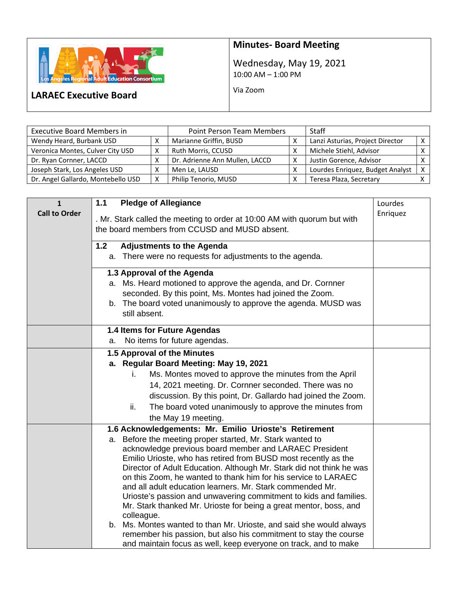

## **Minutes- Board Meeting**

Wednesday, May 19, 2021 10:00 AM – 1:00 PM

Via Zoom

## **LARAEC Executive Board**

| <b>Executive Board Members in</b>  |   | <b>Point Person Team Members</b> |   | Staff                            |              |
|------------------------------------|---|----------------------------------|---|----------------------------------|--------------|
| Wendy Heard, Burbank USD           |   | Marianne Griffin, BUSD           |   | Lanzi Asturias, Project Director |              |
| Veronica Montes, Culver City USD   |   | Ruth Morris, CCUSD               | v | Michele Stiehl, Advisor          |              |
| Dr. Ryan Cornner, LACCD            |   | Dr. Adrienne Ann Mullen, LACCD   | х | Justin Gorence, Advisor          |              |
| Joseph Stark, Los Angeles USD      |   | Men Le, LAUSD                    |   | Lourdes Enriquez, Budget Analyst | $\checkmark$ |
| Dr. Angel Gallardo, Montebello USD | X | Philip Tenorio, MUSD             |   | Teresa Plaza, Secretary          |              |

| $\mathbf{1}$         | 1.1<br><b>Pledge of Allegiance</b>                                                                                                     | Lourdes  |
|----------------------|----------------------------------------------------------------------------------------------------------------------------------------|----------|
| <b>Call to Order</b> | . Mr. Stark called the meeting to order at 10:00 AM with quorum but with                                                               | Enriquez |
|                      | the board members from CCUSD and MUSD absent.                                                                                          |          |
|                      |                                                                                                                                        |          |
|                      | 1.2<br><b>Adjustments to the Agenda</b>                                                                                                |          |
|                      | a. There were no requests for adjustments to the agenda.                                                                               |          |
|                      | 1.3 Approval of the Agenda                                                                                                             |          |
|                      | a. Ms. Heard motioned to approve the agenda, and Dr. Cornner                                                                           |          |
|                      | seconded. By this point, Ms. Montes had joined the Zoom.                                                                               |          |
|                      | b. The board voted unanimously to approve the agenda. MUSD was                                                                         |          |
|                      | still absent.                                                                                                                          |          |
|                      | 1.4 Items for Future Agendas                                                                                                           |          |
|                      | No items for future agendas.<br>a.                                                                                                     |          |
|                      | 1.5 Approval of the Minutes                                                                                                            |          |
|                      | a. Regular Board Meeting: May 19, 2021                                                                                                 |          |
|                      | Ms. Montes moved to approve the minutes from the April<br>İ.                                                                           |          |
|                      | 14, 2021 meeting. Dr. Cornner seconded. There was no                                                                                   |          |
|                      | discussion. By this point, Dr. Gallardo had joined the Zoom.                                                                           |          |
|                      | The board voted unanimously to approve the minutes from<br>ii.                                                                         |          |
|                      | the May 19 meeting.                                                                                                                    |          |
|                      | 1.6 Acknowledgements: Mr. Emilio Urioste's Retirement                                                                                  |          |
|                      | Before the meeting proper started, Mr. Stark wanted to<br>a.                                                                           |          |
|                      | acknowledge previous board member and LARAEC President                                                                                 |          |
|                      | Emilio Urioste, who has retired from BUSD most recently as the                                                                         |          |
|                      | Director of Adult Education. Although Mr. Stark did not think he was<br>on this Zoom, he wanted to thank him for his service to LARAEC |          |
|                      | and all adult education learners. Mr. Stark commended Mr.                                                                              |          |
|                      | Urioste's passion and unwavering commitment to kids and families.                                                                      |          |
|                      | Mr. Stark thanked Mr. Urioste for being a great mentor, boss, and                                                                      |          |
|                      | colleague.                                                                                                                             |          |
|                      | b. Ms. Montes wanted to than Mr. Urioste, and said she would always                                                                    |          |
|                      | remember his passion, but also his commitment to stay the course                                                                       |          |
|                      | and maintain focus as well, keep everyone on track, and to make                                                                        |          |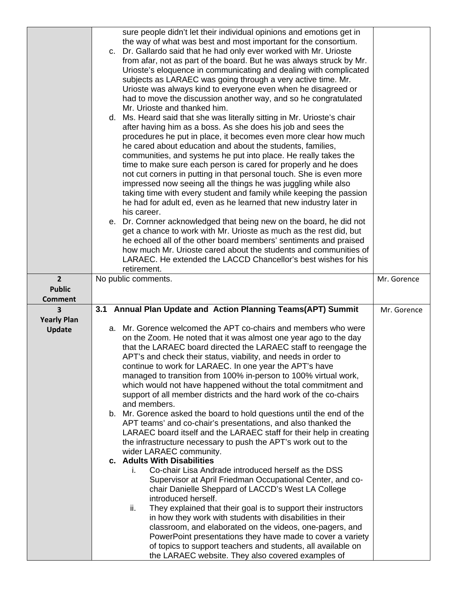|                          | sure people didn't let their individual opinions and emotions get in<br>the way of what was best and most important for the consortium.<br>c. Dr. Gallardo said that he had only ever worked with Mr. Urioste<br>from afar, not as part of the board. But he was always struck by Mr.<br>Urioste's eloquence in communicating and dealing with complicated<br>subjects as LARAEC was going through a very active time. Mr.<br>Urioste was always kind to everyone even when he disagreed or<br>had to move the discussion another way, and so he congratulated<br>Mr. Urioste and thanked him.<br>d. Ms. Heard said that she was literally sitting in Mr. Urioste's chair<br>after having him as a boss. As she does his job and sees the<br>procedures he put in place, it becomes even more clear how much<br>he cared about education and about the students, families,<br>communities, and systems he put into place. He really takes the<br>time to make sure each person is cared for properly and he does<br>not cut corners in putting in that personal touch. She is even more<br>impressed now seeing all the things he was juggling while also<br>taking time with every student and family while keeping the passion<br>he had for adult ed, even as he learned that new industry later in<br>his career.<br>e. Dr. Cornner acknowledged that being new on the board, he did not<br>get a chance to work with Mr. Urioste as much as the rest did, but<br>he echoed all of the other board members' sentiments and praised<br>how much Mr. Urioste cared about the students and communities of<br>LARAEC. He extended the LACCD Chancellor's best wishes for his<br>retirement. |             |
|--------------------------|---------------------------------------------------------------------------------------------------------------------------------------------------------------------------------------------------------------------------------------------------------------------------------------------------------------------------------------------------------------------------------------------------------------------------------------------------------------------------------------------------------------------------------------------------------------------------------------------------------------------------------------------------------------------------------------------------------------------------------------------------------------------------------------------------------------------------------------------------------------------------------------------------------------------------------------------------------------------------------------------------------------------------------------------------------------------------------------------------------------------------------------------------------------------------------------------------------------------------------------------------------------------------------------------------------------------------------------------------------------------------------------------------------------------------------------------------------------------------------------------------------------------------------------------------------------------------------------------------------------------------------------------------------------------------------------------|-------------|
| $2^{1}$<br><b>Public</b> | No public comments.                                                                                                                                                                                                                                                                                                                                                                                                                                                                                                                                                                                                                                                                                                                                                                                                                                                                                                                                                                                                                                                                                                                                                                                                                                                                                                                                                                                                                                                                                                                                                                                                                                                                         | Mr. Gorence |
| <b>Comment</b>           |                                                                                                                                                                                                                                                                                                                                                                                                                                                                                                                                                                                                                                                                                                                                                                                                                                                                                                                                                                                                                                                                                                                                                                                                                                                                                                                                                                                                                                                                                                                                                                                                                                                                                             |             |
| 3                        | 3.1 Annual Plan Update and Action Planning Teams(APT) Summit                                                                                                                                                                                                                                                                                                                                                                                                                                                                                                                                                                                                                                                                                                                                                                                                                                                                                                                                                                                                                                                                                                                                                                                                                                                                                                                                                                                                                                                                                                                                                                                                                                | Mr. Gorence |
| <b>Yearly Plan</b>       |                                                                                                                                                                                                                                                                                                                                                                                                                                                                                                                                                                                                                                                                                                                                                                                                                                                                                                                                                                                                                                                                                                                                                                                                                                                                                                                                                                                                                                                                                                                                                                                                                                                                                             |             |
| <b>Update</b>            | a. Mr. Gorence welcomed the APT co-chairs and members who were<br>on the Zoom. He noted that it was almost one year ago to the day<br>that the LARAEC board directed the LARAEC staff to reengage the<br>APT's and check their status, viability, and needs in order to<br>continue to work for LARAEC. In one year the APT's have<br>managed to transition from 100% in-person to 100% virtual work,<br>which would not have happened without the total commitment and<br>support of all member districts and the hard work of the co-chairs<br>and members.<br>b. Mr. Gorence asked the board to hold questions until the end of the<br>APT teams' and co-chair's presentations, and also thanked the<br>LARAEC board itself and the LARAEC staff for their help in creating<br>the infrastructure necessary to push the APT's work out to the<br>wider LARAEC community.<br>c. Adults With Disabilities<br>Co-chair Lisa Andrade introduced herself as the DSS<br>I.<br>Supervisor at April Friedman Occupational Center, and co-<br>chair Danielle Sheppard of LACCD's West LA College<br>introduced herself.<br>They explained that their goal is to support their instructors<br>ii.<br>in how they work with students with disabilities in their<br>classroom, and elaborated on the videos, one-pagers, and<br>PowerPoint presentations they have made to cover a variety<br>of topics to support teachers and students, all available on<br>the LARAEC website. They also covered examples of                                                                                                                                                                                      |             |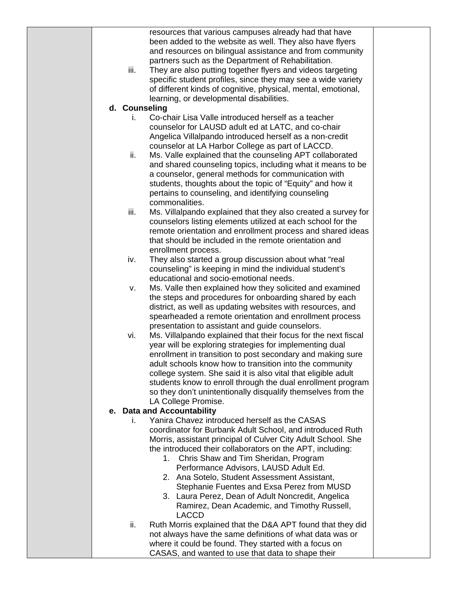|  |               | resources that various campuses already had that have<br>been added to the website as well. They also have flyers<br>and resources on bilingual assistance and from community |  |
|--|---------------|-------------------------------------------------------------------------------------------------------------------------------------------------------------------------------|--|
|  | iii.          | partners such as the Department of Rehabilitation.<br>They are also putting together flyers and videos targeting                                                              |  |
|  |               | specific student profiles, since they may see a wide variety                                                                                                                  |  |
|  |               | of different kinds of cognitive, physical, mental, emotional,                                                                                                                 |  |
|  |               | learning, or developmental disabilities.                                                                                                                                      |  |
|  | d. Counseling | Co-chair Lisa Valle introduced herself as a teacher                                                                                                                           |  |
|  | Ι.            | counselor for LAUSD adult ed at LATC, and co-chair                                                                                                                            |  |
|  |               | Angelica Villalpando introduced herself as a non-credit                                                                                                                       |  |
|  |               | counselor at LA Harbor College as part of LACCD.                                                                                                                              |  |
|  | ii.           | Ms. Valle explained that the counseling APT collaborated                                                                                                                      |  |
|  |               | and shared counseling topics, including what it means to be                                                                                                                   |  |
|  |               | a counselor, general methods for communication with                                                                                                                           |  |
|  |               | students, thoughts about the topic of "Equity" and how it                                                                                                                     |  |
|  |               | pertains to counseling, and identifying counseling<br>commonalities.                                                                                                          |  |
|  | iii.          | Ms. Villalpando explained that they also created a survey for                                                                                                                 |  |
|  |               | counselors listing elements utilized at each school for the                                                                                                                   |  |
|  |               | remote orientation and enrollment process and shared ideas                                                                                                                    |  |
|  |               | that should be included in the remote orientation and                                                                                                                         |  |
|  |               | enrollment process.                                                                                                                                                           |  |
|  | iv.           | They also started a group discussion about what "real<br>counseling" is keeping in mind the individual student's                                                              |  |
|  |               | educational and socio-emotional needs.                                                                                                                                        |  |
|  | ν.            | Ms. Valle then explained how they solicited and examined                                                                                                                      |  |
|  |               | the steps and procedures for onboarding shared by each                                                                                                                        |  |
|  |               | district, as well as updating websites with resources, and                                                                                                                    |  |
|  |               | spearheaded a remote orientation and enrollment process                                                                                                                       |  |
|  |               | presentation to assistant and guide counselors.                                                                                                                               |  |
|  | vi.           | Ms. Villalpando explained that their focus for the next fiscal<br>year will be exploring strategies for implementing dual                                                     |  |
|  |               | enrollment in transition to post secondary and making sure                                                                                                                    |  |
|  |               | adult schools know how to transition into the community                                                                                                                       |  |
|  |               | college system. She said it is also vital that eligible adult                                                                                                                 |  |
|  |               | students know to enroll through the dual enrollment program                                                                                                                   |  |
|  |               | so they don't unintentionally disqualify themselves from the                                                                                                                  |  |
|  |               | LA College Promise.                                                                                                                                                           |  |
|  | Ĺ.            | e. Data and Accountability<br>Yanira Chavez introduced herself as the CASAS                                                                                                   |  |
|  |               | coordinator for Burbank Adult School, and introduced Ruth                                                                                                                     |  |
|  |               | Morris, assistant principal of Culver City Adult School. She                                                                                                                  |  |
|  |               | the introduced their collaborators on the APT, including:                                                                                                                     |  |
|  |               | Chris Shaw and Tim Sheridan, Program<br>1.                                                                                                                                    |  |
|  |               | Performance Advisors, LAUSD Adult Ed.                                                                                                                                         |  |
|  |               | 2. Ana Sotelo, Student Assessment Assistant,                                                                                                                                  |  |
|  |               | Stephanie Fuentes and Exsa Perez from MUSD<br>3. Laura Perez, Dean of Adult Noncredit, Angelica                                                                               |  |
|  |               | Ramirez, Dean Academic, and Timothy Russell,                                                                                                                                  |  |
|  |               | <b>LACCD</b>                                                                                                                                                                  |  |
|  | ii.           | Ruth Morris explained that the D&A APT found that they did                                                                                                                    |  |
|  |               | not always have the same definitions of what data was or                                                                                                                      |  |
|  |               | where it could be found. They started with a focus on                                                                                                                         |  |
|  |               | CASAS, and wanted to use that data to shape their                                                                                                                             |  |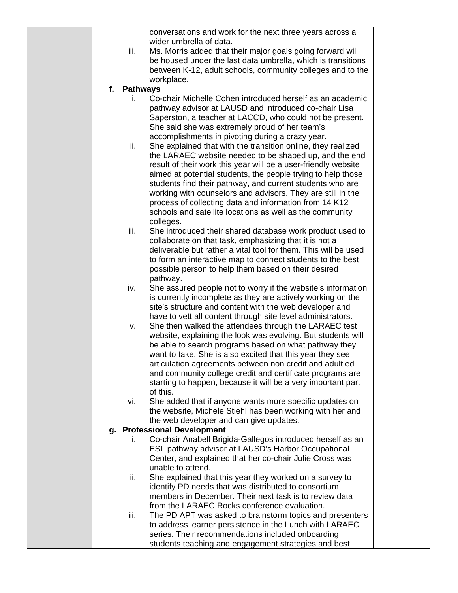|    |                 | conversations and work for the next three years across a                                                                       |  |
|----|-----------------|--------------------------------------------------------------------------------------------------------------------------------|--|
|    |                 | wider umbrella of data.                                                                                                        |  |
|    | iii.            | Ms. Morris added that their major goals going forward will                                                                     |  |
|    |                 | be housed under the last data umbrella, which is transitions                                                                   |  |
|    |                 | between K-12, adult schools, community colleges and to the                                                                     |  |
|    |                 | workplace.                                                                                                                     |  |
| f. | <b>Pathways</b> |                                                                                                                                |  |
|    | Ĺ.              | Co-chair Michelle Cohen introduced herself as an academic                                                                      |  |
|    |                 | pathway advisor at LAUSD and introduced co-chair Lisa                                                                          |  |
|    |                 | Saperston, a teacher at LACCD, who could not be present.                                                                       |  |
|    |                 | She said she was extremely proud of her team's                                                                                 |  |
|    |                 | accomplishments in pivoting during a crazy year.                                                                               |  |
|    | ii.             | She explained that with the transition online, they realized                                                                   |  |
|    |                 | the LARAEC website needed to be shaped up, and the end                                                                         |  |
|    |                 | result of their work this year will be a user-friendly website<br>aimed at potential students, the people trying to help those |  |
|    |                 | students find their pathway, and current students who are                                                                      |  |
|    |                 | working with counselors and advisors. They are still in the                                                                    |  |
|    |                 | process of collecting data and information from 14 K12                                                                         |  |
|    |                 | schools and satellite locations as well as the community                                                                       |  |
|    |                 | colleges.                                                                                                                      |  |
|    | iii.            | She introduced their shared database work product used to                                                                      |  |
|    |                 | collaborate on that task, emphasizing that it is not a                                                                         |  |
|    |                 | deliverable but rather a vital tool for them. This will be used                                                                |  |
|    |                 | to form an interactive map to connect students to the best                                                                     |  |
|    |                 | possible person to help them based on their desired                                                                            |  |
|    |                 | pathway.                                                                                                                       |  |
|    | iv.             | She assured people not to worry if the website's information                                                                   |  |
|    |                 | is currently incomplete as they are actively working on the                                                                    |  |
|    |                 | site's structure and content with the web developer and                                                                        |  |
|    |                 | have to vett all content through site level administrators.                                                                    |  |
|    | v.              | She then walked the attendees through the LARAEC test                                                                          |  |
|    |                 | website, explaining the look was evolving. But students will                                                                   |  |
|    |                 | be able to search programs based on what pathway they<br>want to take. She is also excited that this year they see             |  |
|    |                 | articulation agreements between non credit and adult ed                                                                        |  |
|    |                 | and community college credit and certificate programs are                                                                      |  |
|    |                 | starting to happen, because it will be a very important part                                                                   |  |
|    |                 | of this.                                                                                                                       |  |
|    | vi.             | She added that if anyone wants more specific updates on                                                                        |  |
|    |                 | the website, Michele Stiehl has been working with her and                                                                      |  |
|    |                 | the web developer and can give updates.                                                                                        |  |
| g. |                 | <b>Professional Development</b>                                                                                                |  |
|    | L.              | Co-chair Anabell Brigida-Gallegos introduced herself as an                                                                     |  |
|    |                 | ESL pathway advisor at LAUSD's Harbor Occupational                                                                             |  |
|    |                 | Center, and explained that her co-chair Julie Cross was                                                                        |  |
|    |                 | unable to attend.                                                                                                              |  |
|    | ii.             | She explained that this year they worked on a survey to                                                                        |  |
|    |                 | identify PD needs that was distributed to consortium                                                                           |  |
|    |                 | members in December. Their next task is to review data                                                                         |  |
|    |                 | from the LARAEC Rocks conference evaluation.                                                                                   |  |
|    | iii.            | The PD APT was asked to brainstorm topics and presenters                                                                       |  |
|    |                 | to address learner persistence in the Lunch with LARAEC<br>series. Their recommendations included onboarding                   |  |
|    |                 | students teaching and engagement strategies and best                                                                           |  |
|    |                 |                                                                                                                                |  |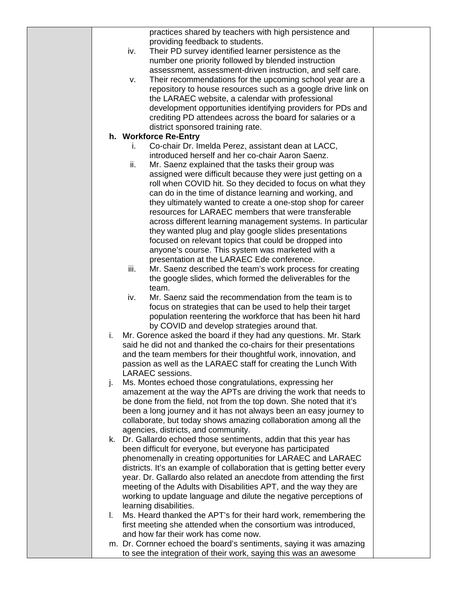|    | practices shared by teachers with high persistence and                   |  |
|----|--------------------------------------------------------------------------|--|
|    | providing feedback to students.                                          |  |
|    | Their PD survey identified learner persistence as the<br>iv.             |  |
|    | number one priority followed by blended instruction                      |  |
|    | assessment, assessment-driven instruction, and self care.                |  |
|    | Their recommendations for the upcoming school year are a<br>v.           |  |
|    | repository to house resources such as a google drive link on             |  |
|    |                                                                          |  |
|    | the LARAEC website, a calendar with professional                         |  |
|    | development opportunities identifying providers for PDs and              |  |
|    | crediting PD attendees across the board for salaries or a                |  |
|    | district sponsored training rate.                                        |  |
|    | h. Workforce Re-Entry                                                    |  |
|    | Co-chair Dr. Imelda Perez, assistant dean at LACC,<br>L.                 |  |
|    | introduced herself and her co-chair Aaron Saenz.                         |  |
|    | ii.<br>Mr. Saenz explained that the tasks their group was                |  |
|    | assigned were difficult because they were just getting on a              |  |
|    | roll when COVID hit. So they decided to focus on what they               |  |
|    | can do in the time of distance learning and working, and                 |  |
|    | they ultimately wanted to create a one-stop shop for career              |  |
|    | resources for LARAEC members that were transferable                      |  |
|    | across different learning management systems. In particular              |  |
|    | they wanted plug and play google slides presentations                    |  |
|    | focused on relevant topics that could be dropped into                    |  |
|    | anyone's course. This system was marketed with a                         |  |
|    | presentation at the LARAEC Ede conference.                               |  |
|    | iii.<br>Mr. Saenz described the team's work process for creating         |  |
|    |                                                                          |  |
|    | the google slides, which formed the deliverables for the                 |  |
|    | team.                                                                    |  |
|    | Mr. Saenz said the recommendation from the team is to<br>iv.             |  |
|    | focus on strategies that can be used to help their target                |  |
|    | population reentering the workforce that has been hit hard               |  |
|    | by COVID and develop strategies around that.                             |  |
| i. | Mr. Gorence asked the board if they had any questions. Mr. Stark         |  |
|    | said he did not and thanked the co-chairs for their presentations        |  |
|    | and the team members for their thoughtful work, innovation, and          |  |
|    | passion as well as the LARAEC staff for creating the Lunch With          |  |
|    | <b>LARAEC</b> sessions.                                                  |  |
| j. | Ms. Montes echoed those congratulations, expressing her                  |  |
|    | amazement at the way the APTs are driving the work that needs to         |  |
|    | be done from the field, not from the top down. She noted that it's       |  |
|    | been a long journey and it has not always been an easy journey to        |  |
|    | collaborate, but today shows amazing collaboration among all the         |  |
|    | agencies, districts, and community.                                      |  |
|    | k. Dr. Gallardo echoed those sentiments, addin that this year has        |  |
|    | been difficult for everyone, but everyone has participated               |  |
|    | phenomenally in creating opportunities for LARAEC and LARAEC             |  |
|    | districts. It's an example of collaboration that is getting better every |  |
|    | year. Dr. Gallardo also related an anecdote from attending the first     |  |
|    | meeting of the Adults with Disabilities APT, and the way they are        |  |
|    |                                                                          |  |
|    | working to update language and dilute the negative perceptions of        |  |
|    | learning disabilities.                                                   |  |
| L. | Ms. Heard thanked the APT's for their hard work, remembering the         |  |
|    | first meeting she attended when the consortium was introduced,           |  |
|    | and how far their work has come now.                                     |  |
|    | m. Dr. Cornner echoed the board's sentiments, saying it was amazing      |  |
|    | to see the integration of their work, saying this was an awesome         |  |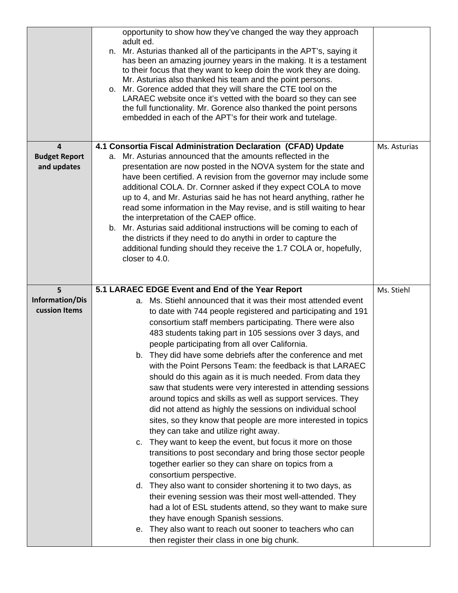|                                                                | opportunity to show how they've changed the way they approach<br>adult ed.<br>n. Mr. Asturias thanked all of the participants in the APT's, saying it<br>has been an amazing journey years in the making. It is a testament<br>to their focus that they want to keep doin the work they are doing.<br>Mr. Asturias also thanked his team and the point persons.<br>Mr. Gorence added that they will share the CTE tool on the<br>о.<br>LARAEC website once it's vetted with the board so they can see<br>the full functionality. Mr. Gorence also thanked the point persons<br>embedded in each of the APT's for their work and tutelage.                                                                                                                                                                                                                                                                                                                                                                                                                                                                                                                                                                                                                                                                                                                                                                               |              |
|----------------------------------------------------------------|-------------------------------------------------------------------------------------------------------------------------------------------------------------------------------------------------------------------------------------------------------------------------------------------------------------------------------------------------------------------------------------------------------------------------------------------------------------------------------------------------------------------------------------------------------------------------------------------------------------------------------------------------------------------------------------------------------------------------------------------------------------------------------------------------------------------------------------------------------------------------------------------------------------------------------------------------------------------------------------------------------------------------------------------------------------------------------------------------------------------------------------------------------------------------------------------------------------------------------------------------------------------------------------------------------------------------------------------------------------------------------------------------------------------------|--------------|
| $\overline{\mathbf{4}}$<br><b>Budget Report</b><br>and updates | 4.1 Consortia Fiscal Administration Declaration (CFAD) Update<br>Mr. Asturias announced that the amounts reflected in the<br>а.<br>presentation are now posted in the NOVA system for the state and<br>have been certified. A revision from the governor may include some<br>additional COLA. Dr. Cornner asked if they expect COLA to move<br>up to 4, and Mr. Asturias said he has not heard anything, rather he<br>read some information in the May revise, and is still waiting to hear<br>the interpretation of the CAEP office.<br>b. Mr. Asturias said additional instructions will be coming to each of<br>the districts if they need to do anythi in order to capture the<br>additional funding should they receive the 1.7 COLA or, hopefully,<br>closer to 4.0.                                                                                                                                                                                                                                                                                                                                                                                                                                                                                                                                                                                                                                              | Ms. Asturias |
|                                                                |                                                                                                                                                                                                                                                                                                                                                                                                                                                                                                                                                                                                                                                                                                                                                                                                                                                                                                                                                                                                                                                                                                                                                                                                                                                                                                                                                                                                                         |              |
| 5 <sup>1</sup><br><b>Information/Dis</b><br>cussion Items      | 5.1 LARAEC EDGE Event and End of the Year Report<br>a. Ms. Stiehl announced that it was their most attended event<br>to date with 744 people registered and participating and 191<br>consortium staff members participating. There were also<br>483 students taking part in 105 sessions over 3 days, and<br>people participating from all over California.<br>b. They did have some debriefs after the conference and met<br>with the Point Persons Team: the feedback is that LARAEC<br>should do this again as it is much needed. From data they<br>saw that students were very interested in attending sessions<br>around topics and skills as well as support services. They<br>did not attend as highly the sessions on individual school<br>sites, so they know that people are more interested in topics<br>they can take and utilize right away.<br>c. They want to keep the event, but focus it more on those<br>transitions to post secondary and bring those sector people<br>together earlier so they can share on topics from a<br>consortium perspective.<br>d. They also want to consider shortening it to two days, as<br>their evening session was their most well-attended. They<br>had a lot of ESL students attend, so they want to make sure<br>they have enough Spanish sessions.<br>They also want to reach out sooner to teachers who can<br>е.<br>then register their class in one big chunk. | Ms. Stiehl   |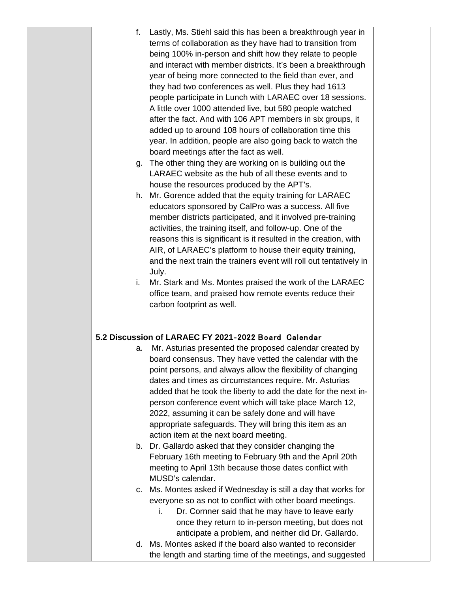| f. | Lastly, Ms. Stiehl said this has been a breakthrough year in<br>terms of collaboration as they have had to transition from<br>being 100% in-person and shift how they relate to people<br>and interact with member districts. It's been a breakthrough<br>year of being more connected to the field than ever, and<br>they had two conferences as well. Plus they had 1613<br>people participate in Lunch with LARAEC over 18 sessions.<br>A little over 1000 attended live, but 580 people watched<br>after the fact. And with 106 APT members in six groups, it<br>added up to around 108 hours of collaboration time this<br>year. In addition, people are also going back to watch the<br>board meetings after the fact as well.<br>g. The other thing they are working on is building out the |  |
|----|----------------------------------------------------------------------------------------------------------------------------------------------------------------------------------------------------------------------------------------------------------------------------------------------------------------------------------------------------------------------------------------------------------------------------------------------------------------------------------------------------------------------------------------------------------------------------------------------------------------------------------------------------------------------------------------------------------------------------------------------------------------------------------------------------|--|
|    | LARAEC website as the hub of all these events and to<br>house the resources produced by the APT's.                                                                                                                                                                                                                                                                                                                                                                                                                                                                                                                                                                                                                                                                                                 |  |
|    | h. Mr. Gorence added that the equity training for LARAEC<br>educators sponsored by CalPro was a success. All five<br>member districts participated, and it involved pre-training<br>activities, the training itself, and follow-up. One of the<br>reasons this is significant is it resulted in the creation, with<br>AIR, of LARAEC's platform to house their equity training,<br>and the next train the trainers event will roll out tentatively in<br>July.                                                                                                                                                                                                                                                                                                                                     |  |
| i. | Mr. Stark and Ms. Montes praised the work of the LARAEC<br>office team, and praised how remote events reduce their<br>carbon footprint as well.                                                                                                                                                                                                                                                                                                                                                                                                                                                                                                                                                                                                                                                    |  |
|    | 5.2 Discussion of LARAEC FY 2021-2022 Board Calendar                                                                                                                                                                                                                                                                                                                                                                                                                                                                                                                                                                                                                                                                                                                                               |  |
| a. | Mr. Asturias presented the proposed calendar created by<br>board consensus. They have vetted the calendar with the<br>point persons, and always allow the flexibility of changing<br>dates and times as circumstances require. Mr. Asturias<br>added that he took the liberty to add the date for the next in-<br>person conference event which will take place March 12,<br>2022, assuming it can be safely done and will have<br>appropriate safeguards. They will bring this item as an<br>action item at the next board meeting.                                                                                                                                                                                                                                                               |  |
|    | b. Dr. Gallardo asked that they consider changing the<br>February 16th meeting to February 9th and the April 20th<br>meeting to April 13th because those dates conflict with<br>MUSD's calendar.                                                                                                                                                                                                                                                                                                                                                                                                                                                                                                                                                                                                   |  |
| C. | Ms. Montes asked if Wednesday is still a day that works for<br>everyone so as not to conflict with other board meetings.<br>Dr. Cornner said that he may have to leave early<br>i.<br>once they return to in-person meeting, but does not<br>anticipate a problem, and neither did Dr. Gallardo.                                                                                                                                                                                                                                                                                                                                                                                                                                                                                                   |  |
| d. | Ms. Montes asked if the board also wanted to reconsider<br>the length and starting time of the meetings, and suggested                                                                                                                                                                                                                                                                                                                                                                                                                                                                                                                                                                                                                                                                             |  |
|    |                                                                                                                                                                                                                                                                                                                                                                                                                                                                                                                                                                                                                                                                                                                                                                                                    |  |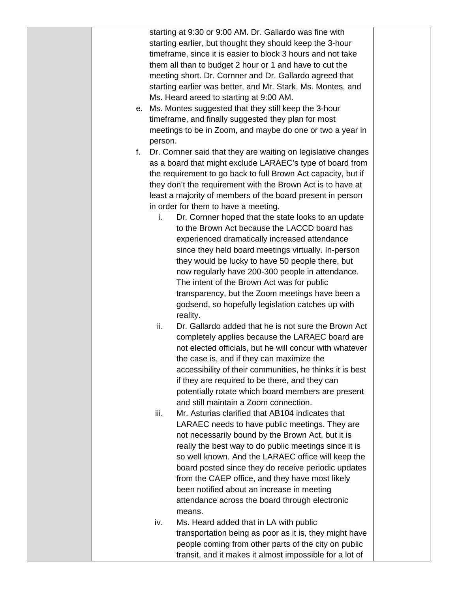|    |         | starting at 9:30 or 9:00 AM. Dr. Gallardo was fine with                                                    |  |
|----|---------|------------------------------------------------------------------------------------------------------------|--|
|    |         | starting earlier, but thought they should keep the 3-hour                                                  |  |
|    |         | timeframe, since it is easier to block 3 hours and not take                                                |  |
|    |         | them all than to budget 2 hour or 1 and have to cut the                                                    |  |
|    |         | meeting short. Dr. Cornner and Dr. Gallardo agreed that                                                    |  |
|    |         | starting earlier was better, and Mr. Stark, Ms. Montes, and                                                |  |
|    |         | Ms. Heard areed to starting at 9:00 AM.                                                                    |  |
|    |         | e. Ms. Montes suggested that they still keep the 3-hour                                                    |  |
|    |         | timeframe, and finally suggested they plan for most                                                        |  |
|    |         | meetings to be in Zoom, and maybe do one or two a year in                                                  |  |
|    | person. |                                                                                                            |  |
| f. |         | Dr. Cornner said that they are waiting on legislative changes                                              |  |
|    |         | as a board that might exclude LARAEC's type of board from                                                  |  |
|    |         | the requirement to go back to full Brown Act capacity, but if                                              |  |
|    |         | they don't the requirement with the Brown Act is to have at                                                |  |
|    |         | least a majority of members of the board present in person                                                 |  |
|    |         | in order for them to have a meeting.                                                                       |  |
|    | i.      | Dr. Cornner hoped that the state looks to an update                                                        |  |
|    |         | to the Brown Act because the LACCD board has                                                               |  |
|    |         | experienced dramatically increased attendance                                                              |  |
|    |         | since they held board meetings virtually. In-person                                                        |  |
|    |         | they would be lucky to have 50 people there, but                                                           |  |
|    |         | now regularly have 200-300 people in attendance.                                                           |  |
|    |         | The intent of the Brown Act was for public                                                                 |  |
|    |         | transparency, but the Zoom meetings have been a                                                            |  |
|    |         | godsend, so hopefully legislation catches up with                                                          |  |
|    |         | reality.                                                                                                   |  |
|    | ii.     | Dr. Gallardo added that he is not sure the Brown Act                                                       |  |
|    |         | completely applies because the LARAEC board are                                                            |  |
|    |         | not elected officials, but he will concur with whatever                                                    |  |
|    |         | the case is, and if they can maximize the                                                                  |  |
|    |         | accessibility of their communities, he thinks it is best                                                   |  |
|    |         | if they are required to be there, and they can                                                             |  |
|    |         | potentially rotate which board members are present                                                         |  |
|    |         | and still maintain a Zoom connection.                                                                      |  |
|    | iii.    | Mr. Asturias clarified that AB104 indicates that                                                           |  |
|    |         | LARAEC needs to have public meetings. They are                                                             |  |
|    |         | not necessarily bound by the Brown Act, but it is<br>really the best way to do public meetings since it is |  |
|    |         | so well known. And the LARAEC office will keep the                                                         |  |
|    |         | board posted since they do receive periodic updates                                                        |  |
|    |         | from the CAEP office, and they have most likely                                                            |  |
|    |         |                                                                                                            |  |
|    |         | been notified about an increase in meeting<br>attendance across the board through electronic               |  |
|    |         | means.                                                                                                     |  |
|    | iv.     | Ms. Heard added that in LA with public                                                                     |  |
|    |         | transportation being as poor as it is, they might have                                                     |  |
|    |         | people coming from other parts of the city on public                                                       |  |
|    |         | transit, and it makes it almost impossible for a lot of                                                    |  |
|    |         |                                                                                                            |  |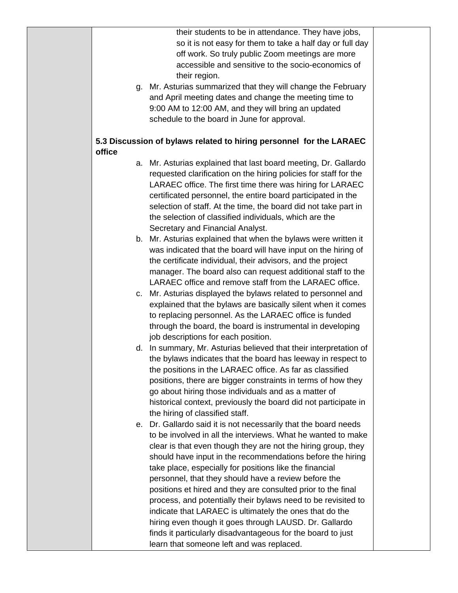their students to be in attendance. They have jobs, so it is not easy for them to take a half day or full day off work. So truly public Zoom meetings are more accessible and sensitive to the socio-economics of their region.

g. Mr. Asturias summarized that they will change the February and April meeting dates and change the meeting time to 9:00 AM to 12:00 AM, and they will bring an updated schedule to the board in June for approval.

## **5.3 Discussion of bylaws related to hiring personnel for the LARAEC office**

- a. Mr. Asturias explained that last board meeting, Dr. Gallardo requested clarification on the hiring policies for staff for the LARAEC office. The first time there was hiring for LARAEC certificated personnel, the entire board participated in the selection of staff. At the time, the board did not take part in the selection of classified individuals, which are the Secretary and Financial Analyst.
- b. Mr. Asturias explained that when the bylaws were written it was indicated that the board will have input on the hiring of the certificate individual, their advisors, and the project manager. The board also can request additional staff to the LARAEC office and remove staff from the LARAEC office.
- c. Mr. Asturias displayed the bylaws related to personnel and explained that the bylaws are basically silent when it comes to replacing personnel. As the LARAEC office is funded through the board, the board is instrumental in developing job descriptions for each position.
- d. In summary, Mr. Asturias believed that their interpretation of the bylaws indicates that the board has leeway in respect to the positions in the LARAEC office. As far as classified positions, there are bigger constraints in terms of how they go about hiring those individuals and as a matter of historical context, previously the board did not participate in the hiring of classified staff.
- e. Dr. Gallardo said it is not necessarily that the board needs to be involved in all the interviews. What he wanted to make clear is that even though they are not the hiring group, they should have input in the recommendations before the hiring take place, especially for positions like the financial personnel, that they should have a review before the positions et hired and they are consulted prior to the final process, and potentially their bylaws need to be revisited to indicate that LARAEC is ultimately the ones that do the hiring even though it goes through LAUSD. Dr. Gallardo finds it particularly disadvantageous for the board to just learn that someone left and was replaced.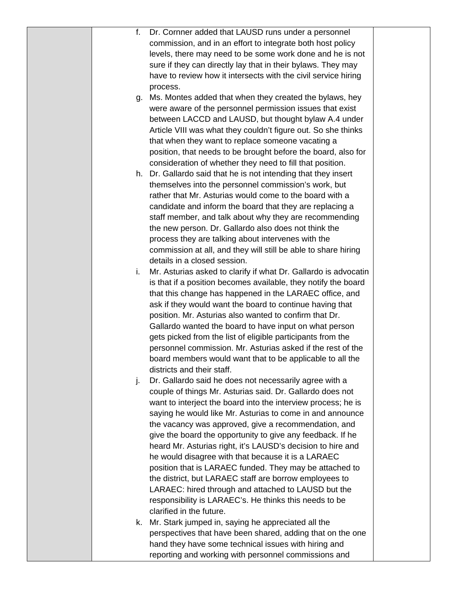| f. | Dr. Cornner added that LAUSD runs under a personnel                                            |  |
|----|------------------------------------------------------------------------------------------------|--|
|    | commission, and in an effort to integrate both host policy                                     |  |
|    | levels, there may need to be some work done and he is not                                      |  |
|    | sure if they can directly lay that in their bylaws. They may                                   |  |
|    | have to review how it intersects with the civil service hiring                                 |  |
|    | process.                                                                                       |  |
| g. | Ms. Montes added that when they created the bylaws, hey                                        |  |
|    | were aware of the personnel permission issues that exist                                       |  |
|    | between LACCD and LAUSD, but thought bylaw A.4 under                                           |  |
|    | Article VIII was what they couldn't figure out. So she thinks                                  |  |
|    | that when they want to replace someone vacating a                                              |  |
|    | position, that needs to be brought before the board, also for                                  |  |
|    | consideration of whether they need to fill that position.                                      |  |
|    | h. Dr. Gallardo said that he is not intending that they insert                                 |  |
|    | themselves into the personnel commission's work, but                                           |  |
|    | rather that Mr. Asturias would come to the board with a                                        |  |
|    | candidate and inform the board that they are replacing a                                       |  |
|    |                                                                                                |  |
|    | staff member, and talk about why they are recommending                                         |  |
|    | the new person. Dr. Gallardo also does not think the                                           |  |
|    | process they are talking about intervenes with the                                             |  |
|    | commission at all, and they will still be able to share hiring<br>details in a closed session. |  |
|    |                                                                                                |  |
| i. | Mr. Asturias asked to clarify if what Dr. Gallardo is advocatin                                |  |
|    | is that if a position becomes available, they notify the board                                 |  |
|    | that this change has happened in the LARAEC office, and                                        |  |
|    | ask if they would want the board to continue having that                                       |  |
|    | position. Mr. Asturias also wanted to confirm that Dr.                                         |  |
|    | Gallardo wanted the board to have input on what person                                         |  |
|    | gets picked from the list of eligible participants from the                                    |  |
|    | personnel commission. Mr. Asturias asked if the rest of the                                    |  |
|    | board members would want that to be applicable to all the                                      |  |
|    | districts and their staff.                                                                     |  |
| j. | Dr. Gallardo said he does not necessarily agree with a                                         |  |
|    | couple of things Mr. Asturias said. Dr. Gallardo does not                                      |  |
|    | want to interject the board into the interview process; he is                                  |  |
|    | saying he would like Mr. Asturias to come in and announce                                      |  |
|    | the vacancy was approved, give a recommendation, and                                           |  |
|    | give the board the opportunity to give any feedback. If he                                     |  |
|    | heard Mr. Asturias right, it's LAUSD's decision to hire and                                    |  |
|    | he would disagree with that because it is a LARAEC                                             |  |
|    | position that is LARAEC funded. They may be attached to                                        |  |
|    | the district, but LARAEC staff are borrow employees to                                         |  |
|    | LARAEC: hired through and attached to LAUSD but the                                            |  |
|    | responsibility is LARAEC's. He thinks this needs to be                                         |  |
|    | clarified in the future.                                                                       |  |
| k. | Mr. Stark jumped in, saying he appreciated all the                                             |  |
|    | perspectives that have been shared, adding that on the one                                     |  |
|    | hand they have some technical issues with hiring and                                           |  |
|    | reporting and working with personnel commissions and                                           |  |
|    |                                                                                                |  |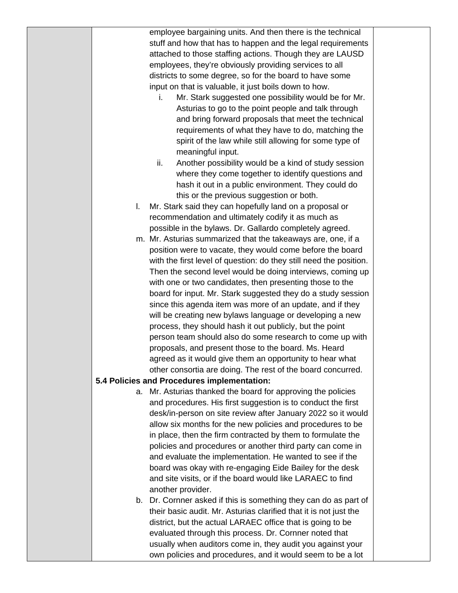|    | employee bargaining units. And then there is the technical                                                           |  |
|----|----------------------------------------------------------------------------------------------------------------------|--|
|    | stuff and how that has to happen and the legal requirements                                                          |  |
|    | attached to those staffing actions. Though they are LAUSD                                                            |  |
|    | employees, they're obviously providing services to all                                                               |  |
|    | districts to some degree, so for the board to have some                                                              |  |
|    | input on that is valuable, it just boils down to how.                                                                |  |
|    | Mr. Stark suggested one possibility would be for Mr.<br>i.                                                           |  |
|    | Asturias to go to the point people and talk through                                                                  |  |
|    | and bring forward proposals that meet the technical                                                                  |  |
|    | requirements of what they have to do, matching the                                                                   |  |
|    | spirit of the law while still allowing for some type of                                                              |  |
|    | meaningful input.                                                                                                    |  |
|    | Another possibility would be a kind of study session<br>ii.                                                          |  |
|    | where they come together to identify questions and                                                                   |  |
|    | hash it out in a public environment. They could do                                                                   |  |
|    | this or the previous suggestion or both.                                                                             |  |
| I. | Mr. Stark said they can hopefully land on a proposal or                                                              |  |
|    | recommendation and ultimately codify it as much as                                                                   |  |
|    | possible in the bylaws. Dr. Gallardo completely agreed.                                                              |  |
|    | m. Mr. Asturias summarized that the takeaways are, one, if a                                                         |  |
|    | position were to vacate, they would come before the board                                                            |  |
|    | with the first level of question: do they still need the position.                                                   |  |
|    | Then the second level would be doing interviews, coming up                                                           |  |
|    | with one or two candidates, then presenting those to the                                                             |  |
|    | board for input. Mr. Stark suggested they do a study session                                                         |  |
|    | since this agenda item was more of an update, and if they                                                            |  |
|    | will be creating new bylaws language or developing a new                                                             |  |
|    | process, they should hash it out publicly, but the point                                                             |  |
|    | person team should also do some research to come up with                                                             |  |
|    | proposals, and present those to the board. Ms. Heard                                                                 |  |
|    | agreed as it would give them an opportunity to hear what                                                             |  |
|    | other consortia are doing. The rest of the board concurred.                                                          |  |
|    | 5.4 Policies and Procedures implementation:                                                                          |  |
|    | a. Mr. Asturias thanked the board for approving the policies                                                         |  |
|    | and procedures. His first suggestion is to conduct the first                                                         |  |
|    | desk/in-person on site review after January 2022 so it would                                                         |  |
|    | allow six months for the new policies and procedures to be                                                           |  |
|    | in place, then the firm contracted by them to formulate the                                                          |  |
|    | policies and procedures or another third party can come in                                                           |  |
|    | and evaluate the implementation. He wanted to see if the                                                             |  |
|    | board was okay with re-engaging Eide Bailey for the desk                                                             |  |
|    | and site visits, or if the board would like LARAEC to find                                                           |  |
|    | another provider.                                                                                                    |  |
|    | b. Dr. Cornner asked if this is something they can do as part of                                                     |  |
|    | their basic audit. Mr. Asturias clarified that it is not just the                                                    |  |
|    | district, but the actual LARAEC office that is going to be                                                           |  |
|    | evaluated through this process. Dr. Cornner noted that<br>usually when auditors come in, they audit you against your |  |
|    | own policies and procedures, and it would seem to be a lot                                                           |  |
|    |                                                                                                                      |  |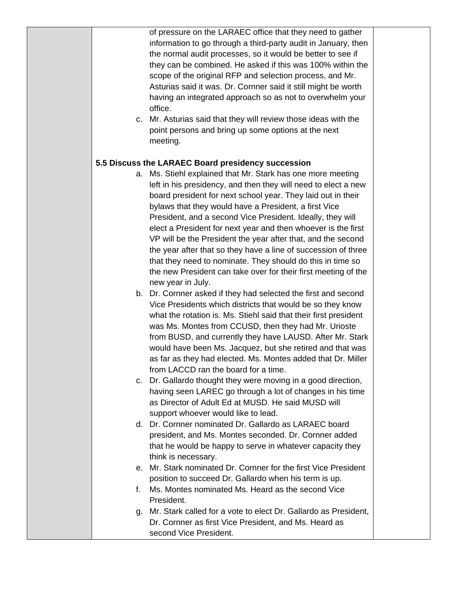of pressure on the LARAEC office that they need to gather information to go through a third-party audit in January, then the normal audit processes, so it would be better to see if they can be combined. He asked if this was 100% within the scope of the original RFP and selection process, and Mr. Asturias said it was. Dr. Cornner said it still might be worth having an integrated approach so as not to overwhelm your office.

c. Mr. Asturias said that they will review those ideas with the point persons and bring up some options at the next meeting.

## **5.5 Discuss the LARAEC Board presidency succession**

- a. Ms. Stiehl explained that Mr. Stark has one more meeting left in his presidency, and then they will need to elect a new board president for next school year. They laid out in their bylaws that they would have a President, a first Vice President, and a second Vice President. Ideally, they will elect a President for next year and then whoever is the first VP will be the President the year after that, and the second the year after that so they have a line of succession of three that they need to nominate. They should do this in time so the new President can take over for their first meeting of the new year in July.
- b. Dr. Cornner asked if they had selected the first and second Vice Presidents which districts that would be so they know what the rotation is. Ms. Stiehl said that their first president was Ms. Montes from CCUSD, then they had Mr. Urioste from BUSD, and currently they have LAUSD. After Mr. Stark would have been Ms. Jacquez, but she retired and that was as far as they had elected. Ms. Montes added that Dr. Miller from LACCD ran the board for a time.
- c. Dr. Gallardo thought they were moving in a good direction, having seen LAREC go through a lot of changes in his time as Director of Adult Ed at MUSD. He said MUSD will support whoever would like to lead.
- d. Dr. Cornner nominated Dr. Gallardo as LARAEC board president, and Ms. Montes seconded. Dr. Cornner added that he would be happy to serve in whatever capacity they think is necessary.
- e. Mr. Stark nominated Dr. Cornner for the first Vice President position to succeed Dr. Gallardo when his term is up.
- f. Ms. Montes nominated Ms. Heard as the second Vice President.
- g. Mr. Stark called for a vote to elect Dr. Gallardo as President, Dr. Cornner as first Vice President, and Ms. Heard as second Vice President.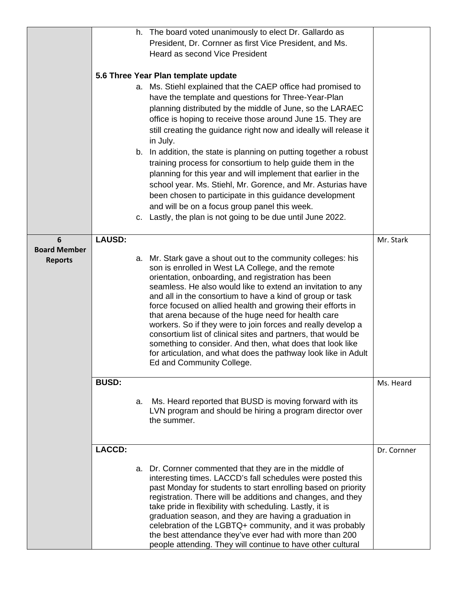|                                            |               |    | h. The board voted unanimously to elect Dr. Gallardo as<br>President, Dr. Cornner as first Vice President, and Ms.<br><b>Heard as second Vice President</b><br>5.6 Three Year Plan template update<br>a. Ms. Stiehl explained that the CAEP office had promised to<br>have the template and questions for Three-Year-Plan<br>planning distributed by the middle of June, so the LARAEC<br>office is hoping to receive those around June 15. They are<br>still creating the guidance right now and ideally will release it<br>in July.<br>b. In addition, the state is planning on putting together a robust<br>training process for consortium to help guide them in the<br>planning for this year and will implement that earlier in the<br>school year. Ms. Stiehl, Mr. Gorence, and Mr. Asturias have<br>been chosen to participate in this guidance development<br>and will be on a focus group panel this week.<br>c. Lastly, the plan is not going to be due until June 2022. |             |
|--------------------------------------------|---------------|----|-------------------------------------------------------------------------------------------------------------------------------------------------------------------------------------------------------------------------------------------------------------------------------------------------------------------------------------------------------------------------------------------------------------------------------------------------------------------------------------------------------------------------------------------------------------------------------------------------------------------------------------------------------------------------------------------------------------------------------------------------------------------------------------------------------------------------------------------------------------------------------------------------------------------------------------------------------------------------------------|-------------|
| 6<br><b>Board Member</b><br><b>Reports</b> | <b>LAUSD:</b> |    | a. Mr. Stark gave a shout out to the community colleges: his<br>son is enrolled in West LA College, and the remote<br>orientation, onboarding, and registration has been<br>seamless. He also would like to extend an invitation to any<br>and all in the consortium to have a kind of group or task<br>force focused on allied health and growing their efforts in<br>that arena because of the huge need for health care<br>workers. So if they were to join forces and really develop a<br>consortium list of clinical sites and partners, that would be<br>something to consider. And then, what does that look like<br>for articulation, and what does the pathway look like in Adult<br>Ed and Community College.                                                                                                                                                                                                                                                             | Mr. Stark   |
|                                            | <b>BUSD:</b>  | a. | Ms. Heard reported that BUSD is moving forward with its<br>LVN program and should be hiring a program director over<br>the summer.                                                                                                                                                                                                                                                                                                                                                                                                                                                                                                                                                                                                                                                                                                                                                                                                                                                  | Ms. Heard   |
|                                            | <b>LACCD:</b> |    | a. Dr. Cornner commented that they are in the middle of                                                                                                                                                                                                                                                                                                                                                                                                                                                                                                                                                                                                                                                                                                                                                                                                                                                                                                                             | Dr. Cornner |
|                                            |               |    | interesting times. LACCD's fall schedules were posted this<br>past Monday for students to start enrolling based on priority<br>registration. There will be additions and changes, and they<br>take pride in flexibility with scheduling. Lastly, it is<br>graduation season, and they are having a graduation in<br>celebration of the LGBTQ+ community, and it was probably<br>the best attendance they've ever had with more than 200<br>people attending. They will continue to have other cultural                                                                                                                                                                                                                                                                                                                                                                                                                                                                              |             |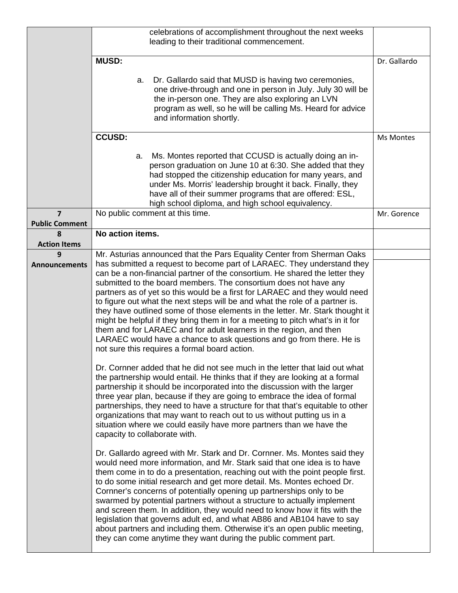|                                         | celebrations of accomplishment throughout the next weeks<br>leading to their traditional commencement.                                                                                                                                                                                                                                                                                                                                                                                                                                                                                                                                                                                                                                                                                                                                                                                                                                                                                                                                                                                                                                                                                                                                                                                                                                                                                                                          |              |
|-----------------------------------------|---------------------------------------------------------------------------------------------------------------------------------------------------------------------------------------------------------------------------------------------------------------------------------------------------------------------------------------------------------------------------------------------------------------------------------------------------------------------------------------------------------------------------------------------------------------------------------------------------------------------------------------------------------------------------------------------------------------------------------------------------------------------------------------------------------------------------------------------------------------------------------------------------------------------------------------------------------------------------------------------------------------------------------------------------------------------------------------------------------------------------------------------------------------------------------------------------------------------------------------------------------------------------------------------------------------------------------------------------------------------------------------------------------------------------------|--------------|
|                                         | <b>MUSD:</b>                                                                                                                                                                                                                                                                                                                                                                                                                                                                                                                                                                                                                                                                                                                                                                                                                                                                                                                                                                                                                                                                                                                                                                                                                                                                                                                                                                                                                    | Dr. Gallardo |
|                                         | Dr. Gallardo said that MUSD is having two ceremonies,<br>a.<br>one drive-through and one in person in July. July 30 will be<br>the in-person one. They are also exploring an LVN<br>program as well, so he will be calling Ms. Heard for advice<br>and information shortly.                                                                                                                                                                                                                                                                                                                                                                                                                                                                                                                                                                                                                                                                                                                                                                                                                                                                                                                                                                                                                                                                                                                                                     |              |
|                                         | <b>CCUSD:</b>                                                                                                                                                                                                                                                                                                                                                                                                                                                                                                                                                                                                                                                                                                                                                                                                                                                                                                                                                                                                                                                                                                                                                                                                                                                                                                                                                                                                                   | Ms Montes    |
|                                         | Ms. Montes reported that CCUSD is actually doing an in-<br>а.<br>person graduation on June 10 at 6:30. She added that they<br>had stopped the citizenship education for many years, and<br>under Ms. Morris' leadership brought it back. Finally, they<br>have all of their summer programs that are offered: ESL,<br>high school diploma, and high school equivalency.                                                                                                                                                                                                                                                                                                                                                                                                                                                                                                                                                                                                                                                                                                                                                                                                                                                                                                                                                                                                                                                         |              |
| $\overline{7}$<br><b>Public Comment</b> | No public comment at this time.                                                                                                                                                                                                                                                                                                                                                                                                                                                                                                                                                                                                                                                                                                                                                                                                                                                                                                                                                                                                                                                                                                                                                                                                                                                                                                                                                                                                 | Mr. Gorence  |
| 8                                       | No action items.                                                                                                                                                                                                                                                                                                                                                                                                                                                                                                                                                                                                                                                                                                                                                                                                                                                                                                                                                                                                                                                                                                                                                                                                                                                                                                                                                                                                                |              |
| <b>Action Items</b>                     |                                                                                                                                                                                                                                                                                                                                                                                                                                                                                                                                                                                                                                                                                                                                                                                                                                                                                                                                                                                                                                                                                                                                                                                                                                                                                                                                                                                                                                 |              |
| 9<br><b>Announcements</b>               | Mr. Asturias announced that the Pars Equality Center from Sherman Oaks<br>has submitted a request to become part of LARAEC. They understand they<br>can be a non-financial partner of the consortium. He shared the letter they<br>submitted to the board members. The consortium does not have any<br>partners as of yet so this would be a first for LARAEC and they would need<br>to figure out what the next steps will be and what the role of a partner is.<br>they have outlined some of those elements in the letter. Mr. Stark thought it<br>might be helpful if they bring them in for a meeting to pitch what's in it for<br>them and for LARAEC and for adult learners in the region, and then<br>LARAEC would have a chance to ask questions and go from there. He is<br>not sure this requires a formal board action.<br>Dr. Cornner added that he did not see much in the letter that laid out what<br>the partnership would entail. He thinks that if they are looking at a formal<br>partnership it should be incorporated into the discussion with the larger<br>three year plan, because if they are going to embrace the idea of formal<br>partnerships, they need to have a structure for that that's equitable to other<br>organizations that may want to reach out to us without putting us in a<br>situation where we could easily have more partners than we have the<br>capacity to collaborate with. |              |
|                                         | Dr. Gallardo agreed with Mr. Stark and Dr. Cornner. Ms. Montes said they<br>would need more information, and Mr. Stark said that one idea is to have<br>them come in to do a presentation, reaching out with the point people first.<br>to do some initial research and get more detail. Ms. Montes echoed Dr.<br>Cornner's concerns of potentially opening up partnerships only to be<br>swarmed by potential partners without a structure to actually implement<br>and screen them. In addition, they would need to know how it fits with the<br>legislation that governs adult ed, and what AB86 and AB104 have to say<br>about partners and including them. Otherwise it's an open public meeting,<br>they can come anytime they want during the public comment part.                                                                                                                                                                                                                                                                                                                                                                                                                                                                                                                                                                                                                                                       |              |